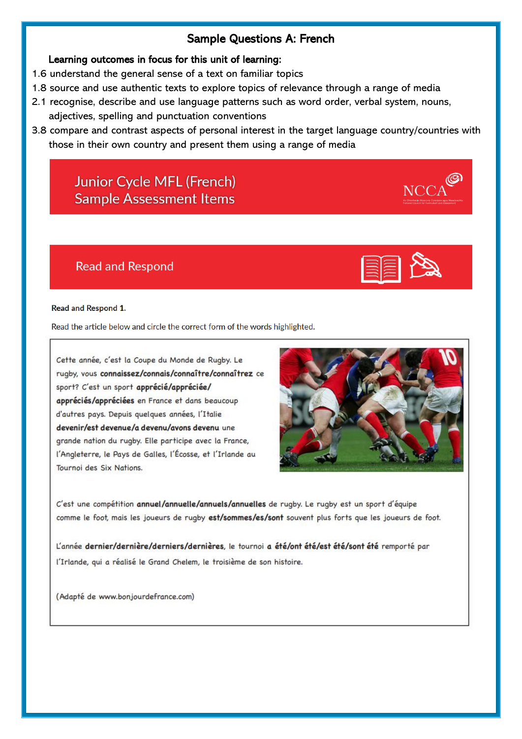## Sample Questions A: French

### Learning outcomes in focus for this unit of learning:

- 1.6 understand the general sense of a text on familiar topics
- 1.8 source and use authentic texts to explore topics of relevance through a range of media
- 2.1 recognise, describe and use language patterns such as word order, verbal system, nouns, adjectives, spelling and punctuation conventions
- 3.8 compare and contrast aspects of personal interest in the target language country/countries with those in their own country and present them using a range of media

# **Junior Cycle MFL (French) Sample Assessment Items**

## **Read and Respond**

#### **Read and Respond 1.**

Read the article below and circle the correct form of the words highlighted.

Cette année, c'est la Coupe du Monde de Rugby. Le rugby, vous connaissez/connais/connaître/connaîtrez ce sport? C'est un sport apprécié/appréciée/ appréciés/appréciées en France et dans beaucoup d'autres pays. Depuis quelques années, l'Italie devenir/est devenue/a devenu/avons devenu une grande nation du rugby. Elle participe avec la France, l'Angleterre, le Pays de Galles, l'Écosse, et l'Irlande au Tournoi des Six Nations.



C'est une compétition annuel/annuelle/annuels/annuelles de rugby. Le rugby est un sport d'équipe comme le foot, mais les joueurs de rugby est/sommes/es/sont souvent plus forts que les joueurs de foot.

L'année dernier/dernière/derniers/dernières, le tournoi a été/ont été/est été/sont été remporté par l'Irlande, qui a réalisé le Grand Chelem, le troisième de son histoire.

(Adapté de www.bonjourdefrance.com)

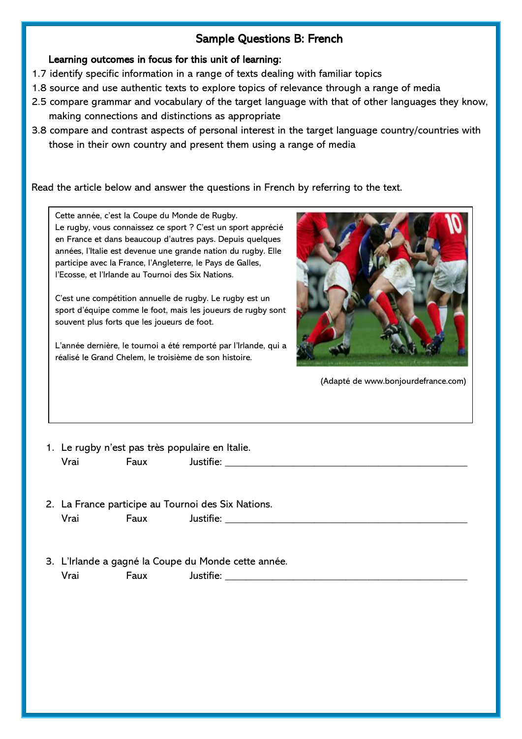## Sample Questions B: French

Learning outcomes in focus for this unit of learning:

- 1.7 identify specific information in a range of texts dealing with familiar topics
- 1.8 source and use authentic texts to explore topics of relevance through a range of media
- 2.5 compare grammar and vocabulary of the target language with that of other languages they know, making connections and distinctions as appropriate
- 3.8 compare and contrast aspects of personal interest in the target language country/countries with those in their own country and present them using a range of media

Read the article below and answer the questions in French by referring to the text.

Cette année, c'est la Coupe du Monde de Rugby. Le rugby, vous connaissez ce sport ? C'est un sport apprécié en France et dans beaucoup d'autres pays. Depuis quelques années, l'Italie est devenue une grande nation du rugby. Elle participe avec la France, l'Angleterre, le Pays de Galles, l'Ecosse, et l'Irlande au Tournoi des Six Nations.

C'est une compétition annuelle de rugby. Le rugby est un sport d'équipe comme le foot, mais les joueurs de rugby sont souvent plus forts que les joueurs de foot.

L'année dernière, le tournoi a été remporté par l'Irlande, qui a réalisé le Grand Chelem, le troisième de son histoire.



(Adapté de www.bonjourdefrance.com)

1. Le rugby n'est pas très populaire en Italie. Vrai Faux Justifie: \_\_\_\_\_\_\_\_\_\_\_\_\_\_\_\_\_\_\_\_\_\_\_\_\_\_\_\_\_\_\_\_\_\_\_\_\_\_\_\_\_\_\_\_\_\_

- 2. La France participe au Tournoi des Six Nations. Vrai Faux Justifie: \_\_\_\_\_\_\_\_\_\_\_\_\_\_\_\_\_\_\_\_\_\_\_\_\_\_\_\_\_\_\_\_\_\_\_\_\_\_\_\_\_\_\_\_\_\_
- 3. L'Irlande a gagné la Coupe du Monde cette année. Vrai Faux Justifie: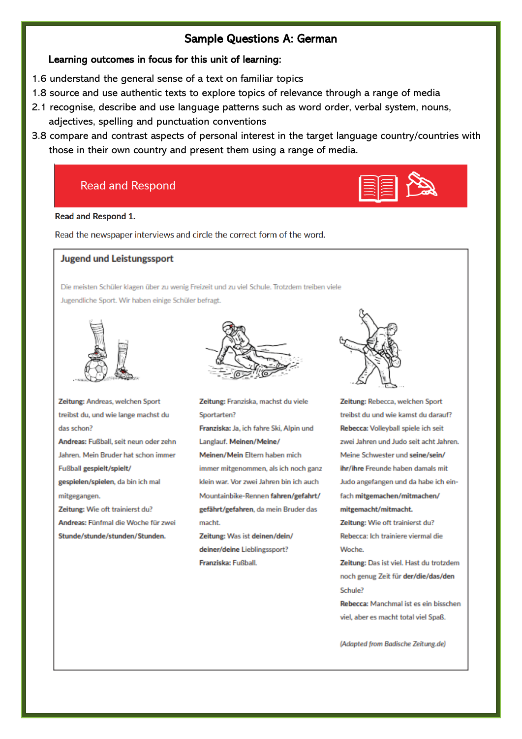### Sample Questions A: German

### Learning outcomes in focus for this unit of learning:

- 1.6 understand the general sense of a text on familiar topics
- 1.8 source and use authentic texts to explore topics of relevance through a range of media
- 2.1 recognise, describe and use language patterns such as word order, verbal system, nouns, adjectives, spelling and punctuation conventions
- 3.8 compare and contrast aspects of personal interest in the target language country/countries with those in their own country and present them using a range of media.

# **Read and Respond**



#### Read and Respond 1.

Read the newspaper interviews and circle the correct form of the word.

### **Jugend und Leistungssport**

Die meisten Schüler klagen über zu wenig Freizeit und zu viel Schule. Trotzdem treiben viele Jugendliche Sport. Wir haben einige Schüler befragt.



Zeitung: Andreas, welchen Sport treibst du, und wie lange machst du das schon? Andreas: Fußball, seit neun oder zehn Jahren. Mein Bruder hat schon immer Fußball gespielt/spielt/ gespielen/spielen, da bin ich mal mitgegangen. Zeitung: Wie oft trainierst du?

Andreas: Fünfmal die Woche für zwei Stunde/stunde/stunden/Stunden.



Zeitung: Franziska, machst du viele Sportarten? Franziska: Ja, ich fahre Ski, Alpin und Langlauf. Meinen/Meine/ Meinen/Mein Eltern haben mich immer mitgenommen, als ich noch ganz klein war. Vor zwei Jahren bin ich auch Mountainbike-Rennen fahren/gefahrt/ gefährt/gefahren, da mein Bruder das macht.

Zeitung: Was ist deinen/dein/ deiner/deine Lieblingssport? Franziska: Fußball.



Zeitung: Rebecca, welchen Sport treibst du und wie kamst du darauf? Rebecca: Volleyball spiele ich seit zwei Jahren und Judo seit acht Jahren. Meine Schwester und seine/sein/ ihr/ihre Freunde haben damals mit Judo angefangen und da habe ich einfach mitgemachen/mitmachen/ mitgemacht/mitmacht.

Zeitung: Wie oft trainierst du? Rebecca: Ich trainiere viermal die Woche.

Zeitung: Das ist viel. Hast du trotzdem noch genug Zeit für der/die/das/den Schule?

Rebecca: Manchmal ist es ein bisschen viel, aber es macht total viel Spaß.

(Adapted from Badische Zeitung.de)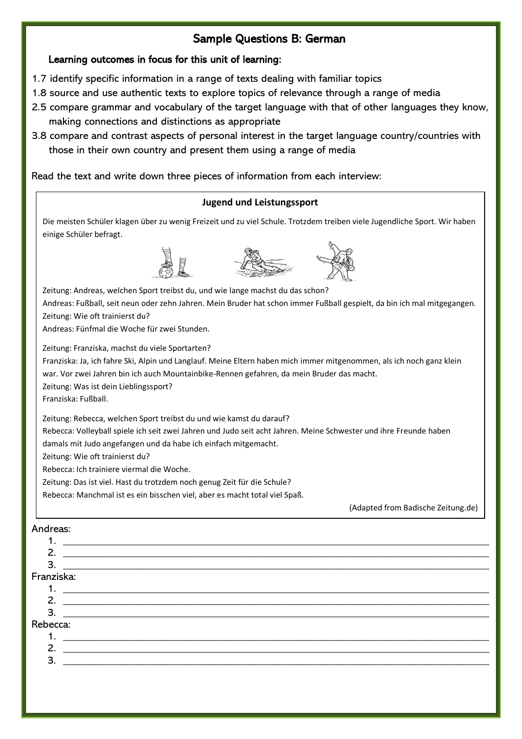# Sample Questions B: German

### Learning outcomes in focus for this unit of learning:

- 1.7 identify specific information in a range of texts dealing with familiar topics
- 1.8 source and use authentic texts to explore topics of relevance through a range of media
- 2.5 compare grammar and vocabulary of the target language with that of other languages they know, making connections and distinctions as appropriate
- 3.8 compare and contrast aspects of personal interest in the target language country/countries with those in their own country and present them using a range of media

### Read the text and write down three pieces of information from each interview:

### **Jugend und Leistungssport**

Die meisten Schüler klagen über zu wenig Freizeit und zu viel Schule. Trotzdem treiben viele Jugendliche Sport. Wir haben einige Schüler befragt.





Zeitung: Andreas, welchen Sport treibst du, und wie lange machst du das schon? Andreas: Fußball, seit neun oder zehn Jahren. Mein Bruder hat schon immer Fußball gespielt, da bin ich mal mitgegangen. Zeitung: Wie oft trainierst du? Andreas: Fünfmal die Woche für zwei Stunden. Zeitung: Franziska, machst du viele Sportarten? Franziska: Ja, ich fahre Ski, Alpin und Langlauf. Meine Eltern haben mich immer mitgenommen, als ich noch ganz klein war. Vor zwei Jahren bin ich auch Mountainbike-Rennen gefahren, da mein Bruder das macht. Zeitung: Was ist dein Lieblingssport? Franziska: Fußball. Zeitung: Rebecca, welchen Sport treibst du und wie kamst du darauf?

Rebecca: Volleyball spiele ich seit zwei Jahren und Judo seit acht Jahren. Meine Schwester und ihre Freunde haben

damals mit Judo angefangen und da habe ich einfach mitgemacht.

Zeitung: Wie oft trainierst du?

Rebecca: Ich trainiere viermal die Woche.

Zeitung: Das ist viel. Hast du trotzdem noch genug Zeit für die Schule?

Rebecca: Manchmal ist es ein bisschen viel, aber es macht total viel Spaß.

(Adapted from Badische Zeitung.de)

#### Andreas:

1. \_\_\_\_\_\_\_\_\_\_\_\_\_\_\_\_\_\_\_\_\_\_\_\_\_\_\_\_\_\_\_\_\_\_\_\_\_\_\_\_\_\_\_\_\_\_\_\_\_\_\_\_\_\_\_\_\_\_\_\_\_\_\_\_\_\_\_\_\_\_\_\_\_\_\_\_\_\_\_\_\_ 2. \_\_\_\_\_\_\_\_\_\_\_\_\_\_\_\_\_\_\_\_\_\_\_\_\_\_\_\_\_\_\_\_\_\_\_\_\_\_\_\_\_\_\_\_\_\_\_\_\_\_\_\_\_\_\_\_\_\_\_\_\_\_\_\_\_\_\_\_\_\_\_\_\_\_\_\_\_\_\_\_\_

### 3. \_\_\_\_\_\_\_\_\_\_\_\_\_\_\_\_\_\_\_\_\_\_\_\_\_\_\_\_\_\_\_\_\_\_\_\_\_\_\_\_\_\_\_\_\_\_\_\_\_\_\_\_\_\_\_\_\_\_\_\_\_\_\_\_\_\_\_\_\_\_\_\_\_\_\_\_\_\_\_\_\_

### Franziska:

- 1. \_\_\_\_\_\_\_\_\_\_\_\_\_\_\_\_\_\_\_\_\_\_\_\_\_\_\_\_\_\_\_\_\_\_\_\_\_\_\_\_\_\_\_\_\_\_\_\_\_\_\_\_\_\_\_\_\_\_\_\_\_\_\_\_\_\_\_\_\_\_\_\_\_\_\_\_\_\_\_\_\_
- 2. \_\_\_\_\_\_\_\_\_\_\_\_\_\_\_\_\_\_\_\_\_\_\_\_\_\_\_\_\_\_\_\_\_\_\_\_\_\_\_\_\_\_\_\_\_\_\_\_\_\_\_\_\_\_\_\_\_\_\_\_\_\_\_\_\_\_\_\_\_\_\_\_\_\_\_\_\_\_\_\_\_

### 3. \_\_\_\_\_\_\_\_\_\_\_\_\_\_\_\_\_\_\_\_\_\_\_\_\_\_\_\_\_\_\_\_\_\_\_\_\_\_\_\_\_\_\_\_\_\_\_\_\_\_\_\_\_\_\_\_\_\_\_\_\_\_\_\_\_\_\_\_\_\_\_\_\_\_\_\_\_\_\_\_\_

Rebecca: 1. \_\_\_\_\_\_\_\_\_\_\_\_\_\_\_\_\_\_\_\_\_\_\_\_\_\_\_\_\_\_\_\_\_\_\_\_\_\_\_\_\_\_\_\_\_\_\_\_\_\_\_\_\_\_\_\_\_\_\_\_\_\_\_\_\_\_\_\_\_\_\_\_\_\_\_\_\_\_\_\_\_ 2. \_\_\_\_\_\_\_\_\_\_\_\_\_\_\_\_\_\_\_\_\_\_\_\_\_\_\_\_\_\_\_\_\_\_\_\_\_\_\_\_\_\_\_\_\_\_\_\_\_\_\_\_\_\_\_\_\_\_\_\_\_\_\_\_\_\_\_\_\_\_\_\_\_\_\_\_\_\_\_\_\_ 3. \_\_\_\_\_\_\_\_\_\_\_\_\_\_\_\_\_\_\_\_\_\_\_\_\_\_\_\_\_\_\_\_\_\_\_\_\_\_\_\_\_\_\_\_\_\_\_\_\_\_\_\_\_\_\_\_\_\_\_\_\_\_\_\_\_\_\_\_\_\_\_\_\_\_\_\_\_\_\_\_\_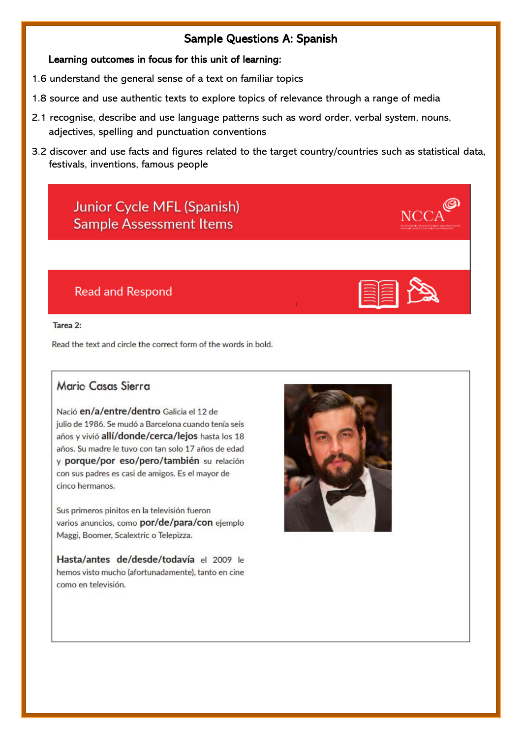## Sample Questions A: Spanish

## Learning outcomes in focus for this unit of learning:

- 1.6 understand the general sense of a text on familiar topics
- 1.8 source and use authentic texts to explore topics of relevance through a range of media
- 2.1 recognise, describe and use language patterns such as word order, verbal system, nouns, adjectives, spelling and punctuation conventions
- 3.2 discover and use facts and figures related to the target country/countries such as statistical data, festivals, inventions, famous people

# **Junior Cycle MFL (Spanish) Sample Assessment Items**

# **Read and Respond**

### Tarea 2:

Read the text and circle the correct form of the words in bold.

## Mario Casas Sierra

Nació en/a/entre/dentro Galicia el 12 de julio de 1986. Se mudó a Barcelona cuando tenía seis años y vivió allí/donde/cerca/lejos hasta los 18 años. Su madre le tuvo con tan solo 17 años de edad y porque/por eso/pero/también su relación con sus padres es casi de amigos. Es el mayor de cinco hermanos.

Sus primeros pinitos en la televisión fueron varios anuncios, como por/de/para/con ejemplo Maggi, Boomer, Scalextric o Telepizza.

Hasta/antes de/desde/todavía el 2009 le hemos visto mucho (afortunadamente), tanto en cine como en televisión.

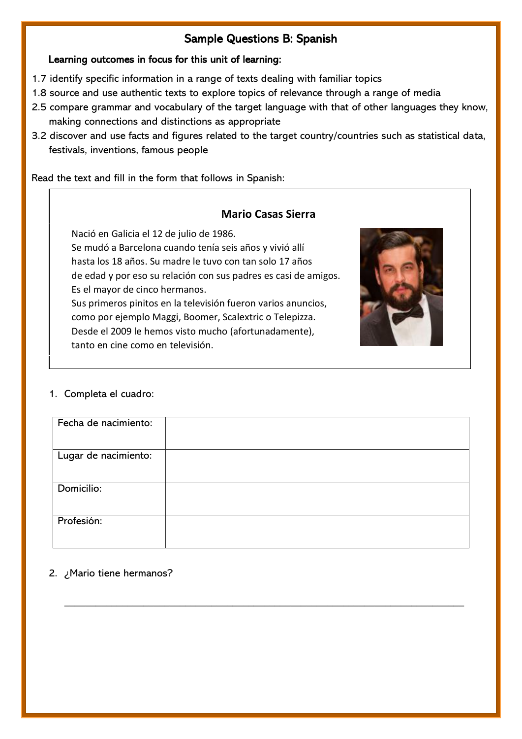# Sample Questions B: Spanish

## Learning outcomes in focus for this unit of learning:

- 1.7 identify specific information in a range of texts dealing with familiar topics
- 1.8 source and use authentic texts to explore topics of relevance through a range of media
- 2.5 compare grammar and vocabulary of the target language with that of other languages they know, making connections and distinctions as appropriate
- 3.2 discover and use facts and figures related to the target country/countries such as statistical data, festivals, inventions, famous people

Read the text and fill in the form that follows in Spanish:

# **Mario Casas Sierra**

Nació en Galicia el 12 de julio de 1986.

Se mudó a Barcelona cuando tenía seis años y vivió allí hasta los 18 años. Su madre le tuvo con tan solo 17 años de edad y por eso su relación con sus padres es casi de amigos. Es el mayor de cinco hermanos.

Sus primeros pinitos en la televisión fueron varios anuncios, como por ejemplo Maggi, Boomer, Scalextric o Telepizza. Desde el 2009 le hemos visto mucho (afortunadamente), tanto en cine como en televisión.



## 1. Completa el cuadro:

| Fecha de nacimiento: |  |
|----------------------|--|
|                      |  |
|                      |  |
|                      |  |
|                      |  |
| Lugar de nacimiento: |  |
|                      |  |
|                      |  |
|                      |  |
|                      |  |
|                      |  |
| Domicilio:           |  |
|                      |  |
|                      |  |
|                      |  |
|                      |  |
| Profesión:           |  |
|                      |  |
|                      |  |
|                      |  |
|                      |  |

\_\_\_\_\_\_\_\_\_\_\_\_\_\_\_\_\_\_\_\_\_\_\_\_\_\_\_\_\_\_\_\_\_\_\_\_\_\_\_\_\_\_\_\_\_\_\_\_\_\_\_\_\_\_\_\_\_\_\_\_\_\_\_\_\_\_\_\_\_\_\_\_\_\_\_\_

## 2. ¿Mario tiene hermanos?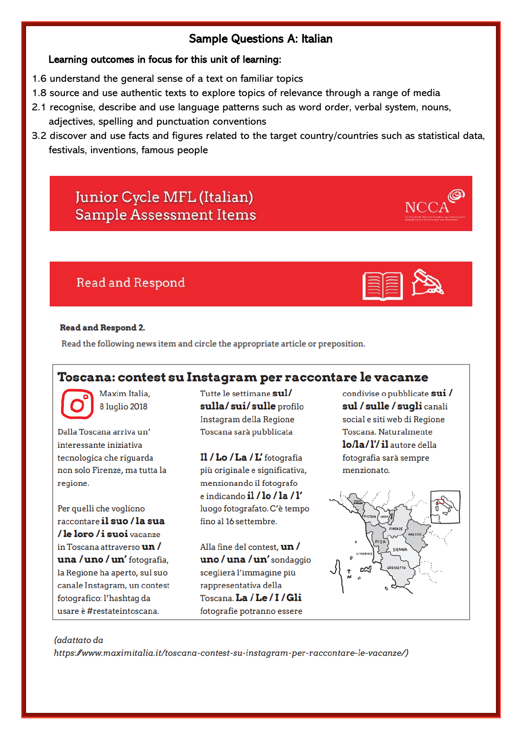## Sample Questions A: Italian

### Learning outcomes in focus for this unit of learning:

- 1.6 understand the general sense of a text on familiar topics
- 1.8 source and use authentic texts to explore topics of relevance through a range of media
- 2.1 recognise, describe and use language patterns such as word order, verbal system, nouns, adjectives, spelling and punctuation conventions
- 3.2 discover and use facts and figures related to the target country/countries such as statistical data, festivals, inventions, famous people

# Junior Cycle MFL (Italian) **Sample Assessment Items**

# **Read and Respond**



 $\mathbf{r}$ 

#### **Read and Respond 2.**

Read the following news item and circle the appropriate article or preposition.

## **Toscana: contest su Instagram per raccontare le vacanze**

Maxim Italia. 8 luglio 2018

Dalla Toscana arriva un' interessante iniziativa tecnologica che riquarda non solo Firenze, ma tutta la regione.

Per quelli che vogliono raccontare il suo / la sua /leloro/isuoi vacanze in Toscana attraverso **un /** una / uno / un' fotografia, la Regione ha aperto, sul suo canale Instagram, un contest fotografico: l'hashtag da usare è #restateintoscana.

Tutte le settimane sul/ sulla/sui/sulle profilo Instagram della Regione Toscana sarà pubblicata

Il / Lo / La / L' fotografia più originale e significativa, menzionando il fotografo e indicando il  $/\ln / \ln / l'$ luogo fotografato. C'è tempo fino al 16 settembre.

Alla fine del contest, un / uno / una / un' sondaggio sceglierà l'immagine più rappresentativa della Toscana. La / Le / I / Gli fotografie potranno essere

condivise o pubblicate sui / sul / sulle / sugli canali social e siti web di Regione Toscana, Naturalmente lo/la/l'/il autore della fotografia sarà sempre menzionato.



#### (adattato da

https://www.maximitalia.it/toscana-contest-su-instagram-per-raccontare-le-vacanze/)